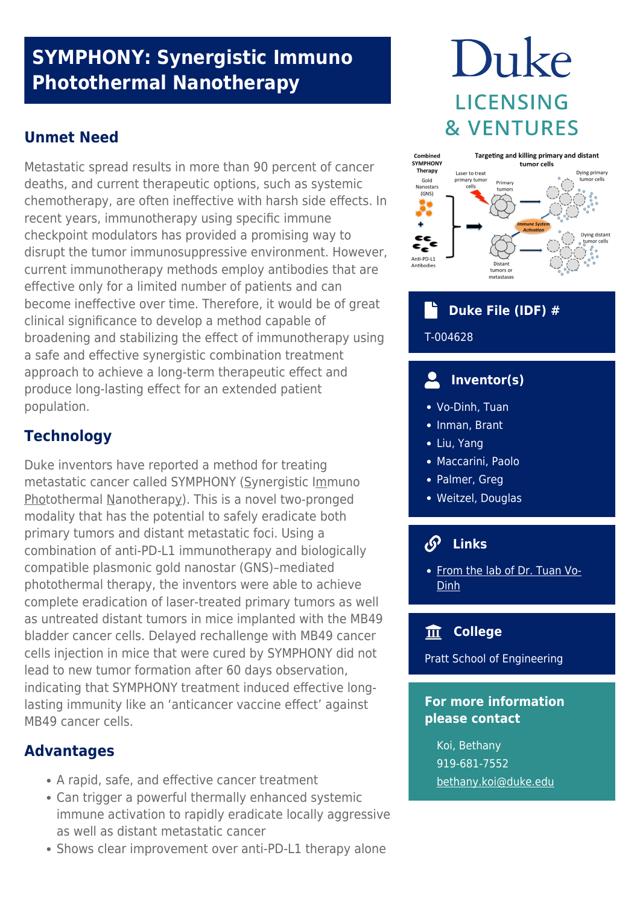# **SYMPHONY: Synergistic Immuno Photothermal Nanotherapy**

## **Unmet Need**

Metastatic spread results in more than 90 percent of cancer deaths, and current therapeutic options, such as systemic chemotherapy, are often ineffective with harsh side effects. In recent years, immunotherapy using specific immune checkpoint modulators has provided a promising way to disrupt the tumor immunosuppressive environment. However, current immunotherapy methods employ antibodies that are effective only for a limited number of patients and can become ineffective over time. Therefore, it would be of great clinical significance to develop a method capable of broadening and stabilizing the effect of immunotherapy using a safe and effective synergistic combination treatment approach to achieve a long-term therapeutic effect and produce long-lasting effect for an extended patient population.

# **Technology**

Duke inventors have reported a method for treating metastatic cancer called SYMPHONY (Synergistic Immuno Photothermal Nanotherapy). This is a novel two-pronged modality that has the potential to safely eradicate both primary tumors and distant metastatic foci. Using a combination of anti-PD-L1 immunotherapy and biologically compatible plasmonic gold nanostar (GNS)–mediated photothermal therapy, the inventors were able to achieve complete eradication of laser-treated primary tumors as well as untreated distant tumors in mice implanted with the MB49 bladder cancer cells. Delayed rechallenge with MB49 cancer cells injection in mice that were cured by SYMPHONY did not lead to new tumor formation after 60 days observation, indicating that SYMPHONY treatment induced effective longlasting immunity like an 'anticancer vaccine effect' against MB49 cancer cells.

## **Advantages**

- A rapid, safe, and effective cancer treatment
- Can trigger a powerful thermally enhanced systemic immune activation to rapidly eradicate locally aggressive as well as distant metastatic cancer
- Shows clear improvement over anti-PD-L1 therapy alone

# Duke **LICENSING & VENTURES**



# **Duke File (IDF) #**

## T-004628

#### **Inventor(s)**  $\overline{\mathbf{C}}$

- Vo-Dinh, Tuan
- Inman, Brant
- Liu, Yang
- Maccarini, Paolo
- Palmer, Greg
- Weitzel, Douglas

## **Links**

• [From the lab of Dr. Tuan Vo-](https://vodinh.pratt.duke.edu/)[Dinh](https://vodinh.pratt.duke.edu/)

## **College**

Pratt School of Engineering

## **For more information please contact**

Koi, Bethany 919-681-7552 [bethany.koi@duke.edu](mailto:bethany.koi@duke.edu)